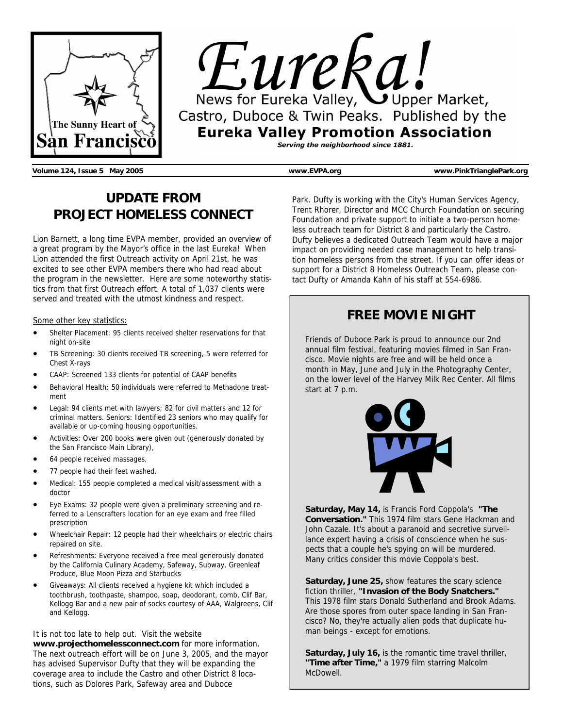

Eureka! News for Eureka Valley, Upper Market, Castro, Duboce & Twin Peaks. Published by the **Eureka Valley Promotion Association** Serving the neighborhood since 1881.

**Volume 124, Issue 5 May 2005 www.EVPA.org www.PinkTrianglePark.org** 

## **UPDATE FROM PROJECT HOMELESS CONNECT**

Lion Barnett, a long time EVPA member, provided an overview of a great program by the Mayor's office in the last Eureka! When Lion attended the first Outreach activity on April 21st, he was excited to see other EVPA members there who had read about the program in the newsletter. Here are some noteworthy statistics from that first Outreach effort. A total of 1,037 clients were served and treated with the utmost kindness and respect.

#### Some other key statistics:

- Shelter Placement: 95 clients received shelter reservations for that night on-site
- TB Screening: 30 clients received TB screening, 5 were referred for Chest X-rays
- CAAP: Screened 133 clients for potential of CAAP benefits
- Behavioral Health: 50 individuals were referred to Methadone treatment
- Legal: 94 clients met with lawyers; 82 for civil matters and 12 for criminal matters. Seniors: Identified 23 seniors who may qualify for available or up-coming housing opportunities.
- Activities: Over 200 books were given out (generously donated by the San Francisco Main Library),
- 64 people received massages,
- 77 people had their feet washed.
- Medical: 155 people completed a medical visit/assessment with a doctor
- Eye Exams: 32 people were given a preliminary screening and referred to a Lenscrafters location for an eye exam and free filled prescription
- Wheelchair Repair: 12 people had their wheelchairs or electric chairs repaired on site.
- Refreshments: Everyone received a free meal generously donated by the California Culinary Academy, Safeway, Subway, Greenleaf Produce, Blue Moon Pizza and Starbucks
- Giveaways: All clients received a hygiene kit which included a toothbrush, toothpaste, shampoo, soap, deodorant, comb, Clif Bar, Kellogg Bar and a new pair of socks courtesy of AAA, Walgreens, Clif and Kellogg.

#### It is not too late to help out. Visit the website

**www.projecthomelessconnect.com** for more information. The next outreach effort will be on June 3, 2005, and the mayor has advised Supervisor Dufty that they will be expanding the coverage area to include the Castro and other District 8 locations, such as Dolores Park, Safeway area and Duboce

Park. Dufty is working with the City's Human Services Agency, Trent Rhorer, Director and MCC Church Foundation on securing Foundation and private support to initiate a two-person homeless outreach team for District 8 and particularly the Castro. Dufty believes a dedicated Outreach Team would have a major impact on providing needed case management to help transition homeless persons from the street. If you can offer ideas or support for a District 8 Homeless Outreach Team, please contact Dufty or Amanda Kahn of his staff at 554-6986.

## **FREE MOVIE NIGHT**

Friends of Duboce Park is proud to announce our 2nd annual film festival, featuring movies filmed in San Francisco. Movie nights are free and will be held once a month in May, June and July in the Photography Center, on the lower level of the Harvey Milk Rec Center. All films start at 7 p.m.



**Saturday, May 14,** is Francis Ford Coppola's **"The Conversation."** This 1974 film stars Gene Hackman and John Cazale. It's about a paranoid and secretive surveillance expert having a crisis of conscience when he suspects that a couple he's spying on will be murdered. Many critics consider this movie Coppola's best.

**Saturday, June 25,** show features the scary science fiction thriller, **"Invasion of the Body Snatchers."** This 1978 film stars Donald Sutherland and Brook Adams. Are those spores from outer space landing in San Francisco? No, they're actually alien pods that duplicate human beings - except for emotions.

**Saturday, July 16,** is the romantic time travel thriller, **"Time after Time,"** a 1979 film starring Malcolm McDowell.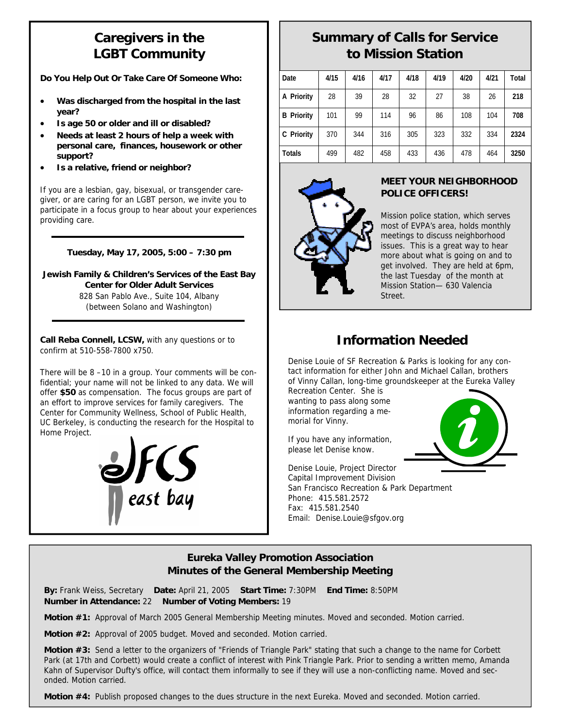# **Caregivers in the LGBT Community**

**Do You Help Out Or Take Care Of Someone Who:** 

- **Was discharged from the hospital in the last year?**
- **Is age 50 or older and ill or disabled?**
- **Needs at least 2 hours of help a week with personal care, finances, housework or other support?**
- **Is a relative, friend or neighbor?**

If you are a lesbian, gay, bisexual, or transgender caregiver, or are caring for an LGBT person, we invite you to participate in a focus group to hear about your experiences providing care.

### **Tuesday, May 17, 2005, 5:00 – 7:30 pm**

**Jewish Family & Children's Services of the East Bay Center for Older Adult Services**  828 San Pablo Ave., Suite 104, Albany (between Solano and Washington)

**Call Reba Connell, LCSW,** with any questions or to confirm at 510-558-7800 x750.

There will be 8 –10 in a group. Your comments will be confidential; your name will not be linked to any data. We will offer **\$50** as compensation. The focus groups are part of an effort to improve services for family caregivers. The Center for Community Wellness, School of Public Health, UC Berkeley, is conducting the research for the Hospital to Home Project.



# **Summary of Calls for Service to Mission Station**

| Date              | 4/15 | 4/16 | 4/17 | 4/18 | 4/19 | 4/20 | 4/21 | Total |
|-------------------|------|------|------|------|------|------|------|-------|
| A Priority        | 28   | 39   | 28   | 32   | 27   | 38   | 26   | 218   |
| <b>B</b> Priority | 101  | 99   | 114  | 96   | 86   | 108  | 104  | 708   |
| C Priority        | 370  | 344  | 316  | 305  | 323  | 332  | 334  | 2324  |
| Totals            | 499  | 482  | 458  | 433  | 436  | 478  | 464  | 3250  |



### **MEET YOUR NEIGHBORHOOD POLICE OFFICERS!**

Mission police station, which serves most of EVPA's area, holds monthly meetings to discuss neighborhood issues. This is a great way to hear more about what is going on and to get involved. They are held at 6pm, the last Tuesday of the month at Mission Station— 630 Valencia Street.

## **Information Needed**

Denise Louie of SF Recreation & Parks is looking for any contact information for either John and Michael Callan, brothers of Vinny Callan, long-time groundskeeper at the Eureka Valley

Recreation Center. She is wanting to pass along some information regarding a memorial for Vinny.

If you have any information, please let Denise know.

Denise Louie, Project Director Capital Improvement Division San Francisco Recreation & Park Department Phone: 415.581.2572 Fax: 415.581.2540 Email: Denise.Louie@sfgov.org



## **Eureka Valley Promotion Association Minutes of the General Membership Meeting**

**By:** Frank Weiss, Secretary **Date:** April 21, 2005 **Start Time:** 7:30PM **End Time:** 8:50PM **Number in Attendance:** 22 **Number of Voting Members:** 19

**Motion #1:** Approval of March 2005 General Membership Meeting minutes. Moved and seconded. Motion carried.

**Motion #2:** Approval of 2005 budget. Moved and seconded. Motion carried.

**Motion #3:** Send a letter to the organizers of "Friends of Triangle Park" stating that such a change to the name for Corbett Park (at 17th and Corbett) would create a conflict of interest with Pink Triangle Park. Prior to sending a written memo, Amanda Kahn of Supervisor Dufty's office, will contact them informally to see if they will use a non-conflicting name. Moved and seconded. Motion carried.

**Motion #4:** Publish proposed changes to the dues structure in the next Eureka. Moved and seconded. Motion carried.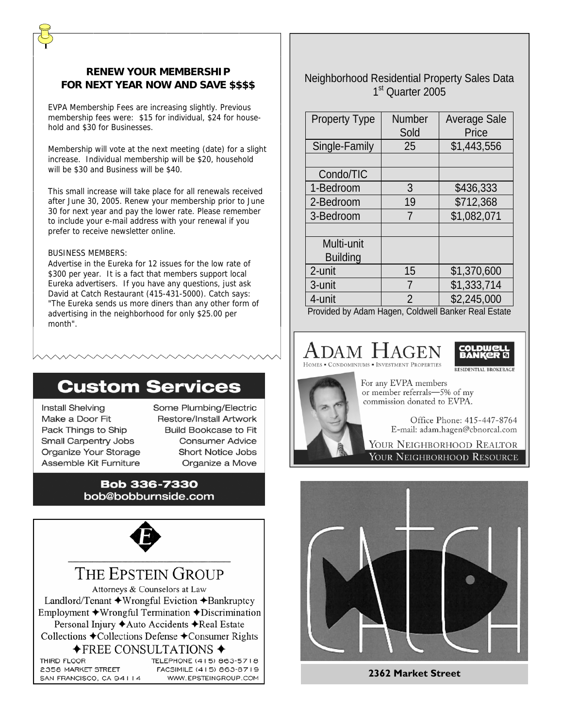## **RENEW YOUR MEMBERSHIP FOR NEXT YEAR NOW AND SAVE \$\$\$\$**

EVPA Membership Fees are increasing slightly. Previous membership fees were: \$15 for individual, \$24 for household and \$30 for Businesses.

Membership will vote at the next meeting (date) for a slight increase. Individual membership will be \$20, household will be \$30 and Business will be \$40.

This small increase will take place for all renewals received after June 30, 2005. Renew your membership prior to June 30 for next year and pay the lower rate. Please remember to include your e-mail address with your renewal if you prefer to receive newsletter online.

#### BUSINESS MEMBERS:

Advertise in the Eureka for 12 issues for the low rate of \$300 per year. It is a fact that members support local Eureka advertisers. If you have any questions, just ask David at Catch Restaurant (415-431-5000). Catch says: "The Eureka sends us more diners than any other form of advertising in the neighborhood for only \$25.00 per month".

# **Custom Services**

**Install Shelving** Make a Door Fit Pack Things to Ship **Small Carpentry Jobs** Organize Your Storage Assemble Kit Furniture

Some Plumbing/Electric **Restore/Install Artwork Build Bookcase to Fit Consumer Advice Short Notice Jobs** Organize a Move

### **Bob 336-7330** bob@bobburnside.com



# THE EPSTEIN GROUP

Attorneys & Counselors at Law Landlord/Tenant  $\triangle$ Wrongful Eviction  $\triangle$ Bankruptcy Employment  $\triangle$ Wrongful Termination  $\triangle$ Discrimination Personal Injury ◆ Auto Accidents ◆ Real Estate Collections ◆Collections Defense ◆Consumer Rights  $\bigstar$ FREE CONSULTATIONS  $\bigstar$ 

THIRD FLOOR TELEPHONE (415) 863-5718 2358 MARKET STREET FACSIMILE (415) 863-8719 SAN FRANCISCO, CA 94114 WWW.EPSTEINGROUP.COM Neighborhood Residential Property Sales Data 1<sup>st</sup> Quarter 2005

| <b>Property Type</b> | <b>Number</b><br>Sold | <b>Average Sale</b><br>Price |
|----------------------|-----------------------|------------------------------|
| Single-Family        | 25                    | \$1,443,556                  |
|                      |                       |                              |
| Condo/TIC            |                       |                              |
| 1-Bedroom            | 3                     | \$436,333                    |
| 2-Bedroom            | 19                    | \$712,368                    |
| 3-Bedroom            | 7                     | \$1,082,071                  |
|                      |                       |                              |
| Multi-unit           |                       |                              |
| <b>Building</b>      |                       |                              |
| 2-unit               | 15                    | \$1,370,600                  |
| 3-unit               | 7                     | \$1,333,714                  |
| 4-unit               | 2                     | \$2,245,000                  |

Provided by Adam Hagen, Coldwell Banker Real Estate

## Adam Hagei **ONDOMINIUMS • INVESTMENT PROPERTIES**



For any EVPA members or member referrals-5% of my commission donated to EVPA.

> Office Phone: 415-447-8764 E-mail: adam.hagen@cbnorcal.com

YOUR NEIGHBORHOOD REALTOR YOUR NEIGHBORHOOD RESOURCE



**2362 Market Street**